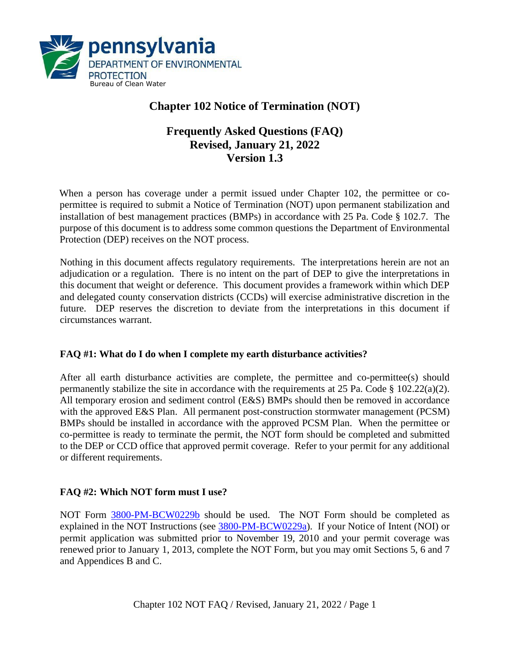

# **Chapter 102 Notice of Termination (NOT)**

# **Frequently Asked Questions (FAQ) Revised, January 21, 2022 Version 1.3**

When a person has coverage under a permit issued under Chapter 102, the permittee or copermittee is required to submit a Notice of Termination (NOT) upon permanent stabilization and installation of best management practices (BMPs) in accordance with 25 Pa. Code § 102.7. The purpose of this document is to address some common questions the Department of Environmental Protection (DEP) receives on the NOT process.

Nothing in this document affects regulatory requirements. The interpretations herein are not an adjudication or a regulation. There is no intent on the part of DEP to give the interpretations in this document that weight or deference. This document provides a framework within which DEP and delegated county conservation districts (CCDs) will exercise administrative discretion in the future. DEP reserves the discretion to deviate from the interpretations in this document if circumstances warrant.

# **FAQ #1: What do I do when I complete my earth disturbance activities?**

After all earth disturbance activities are complete, the permittee and co-permittee(s) should permanently stabilize the site in accordance with the requirements at 25 Pa. Code § 102.22(a)(2). All temporary erosion and sediment control (E&S) BMPs should then be removed in accordance with the approved E&S Plan. All permanent post-construction stormwater management (PCSM) BMPs should be installed in accordance with the approved PCSM Plan. When the permittee or co-permittee is ready to terminate the permit, the NOT form should be completed and submitted to the DEP or CCD office that approved permit coverage. Refer to your permit for any additional or different requirements.

# **FAQ #2: Which NOT form must I use?**

NOT Form [3800-PM-BCW0229b](http://www.depgreenport.state.pa.us/elibrary/GetFolder?FolderID=3668) should be used. The NOT Form should be completed as explained in the NOT Instructions (see [3800-PM-BCW0229a\)](http://www.depgreenport.state.pa.us/elibrary/GetFolder?FolderID=3668). If your Notice of Intent (NOI) or permit application was submitted prior to November 19, 2010 and your permit coverage was renewed prior to January 1, 2013, complete the NOT Form, but you may omit Sections 5, 6 and 7 and Appendices B and C.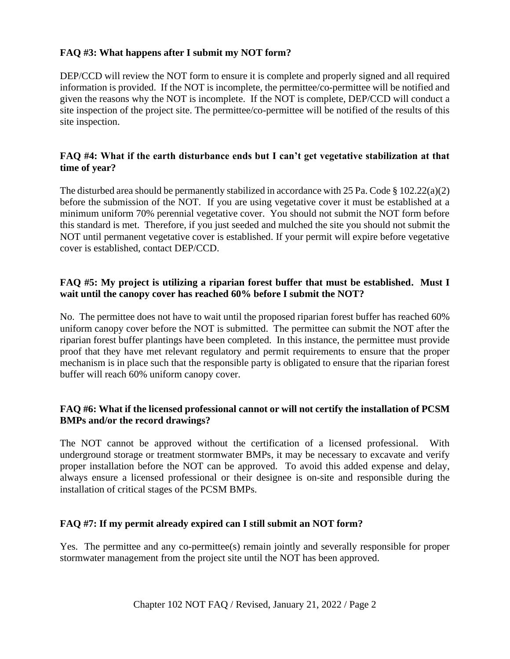# **FAQ #3: What happens after I submit my NOT form?**

DEP/CCD will review the NOT form to ensure it is complete and properly signed and all required information is provided. If the NOT is incomplete, the permittee/co-permittee will be notified and given the reasons why the NOT is incomplete. If the NOT is complete, DEP/CCD will conduct a site inspection of the project site. The permittee/co-permittee will be notified of the results of this site inspection.

# **FAQ #4: What if the earth disturbance ends but I can't get vegetative stabilization at that time of year?**

The disturbed area should be permanently stabilized in accordance with 25 Pa. Code  $\S 102.22(a)(2)$ before the submission of the NOT. If you are using vegetative cover it must be established at a minimum uniform 70% perennial vegetative cover. You should not submit the NOT form before this standard is met. Therefore, if you just seeded and mulched the site you should not submit the NOT until permanent vegetative cover is established. If your permit will expire before vegetative cover is established, contact DEP/CCD.

#### **FAQ #5: My project is utilizing a riparian forest buffer that must be established. Must I wait until the canopy cover has reached 60% before I submit the NOT?**

No. The permittee does not have to wait until the proposed riparian forest buffer has reached 60% uniform canopy cover before the NOT is submitted. The permittee can submit the NOT after the riparian forest buffer plantings have been completed. In this instance, the permittee must provide proof that they have met relevant regulatory and permit requirements to ensure that the proper mechanism is in place such that the responsible party is obligated to ensure that the riparian forest buffer will reach 60% uniform canopy cover.

# **FAQ #6: What if the licensed professional cannot or will not certify the installation of PCSM BMPs and/or the record drawings?**

The NOT cannot be approved without the certification of a licensed professional. With underground storage or treatment stormwater BMPs, it may be necessary to excavate and verify proper installation before the NOT can be approved. To avoid this added expense and delay, always ensure a licensed professional or their designee is on-site and responsible during the installation of critical stages of the PCSM BMPs.

# **FAQ #7: If my permit already expired can I still submit an NOT form?**

Yes. The permittee and any co-permittee(s) remain jointly and severally responsible for proper stormwater management from the project site until the NOT has been approved.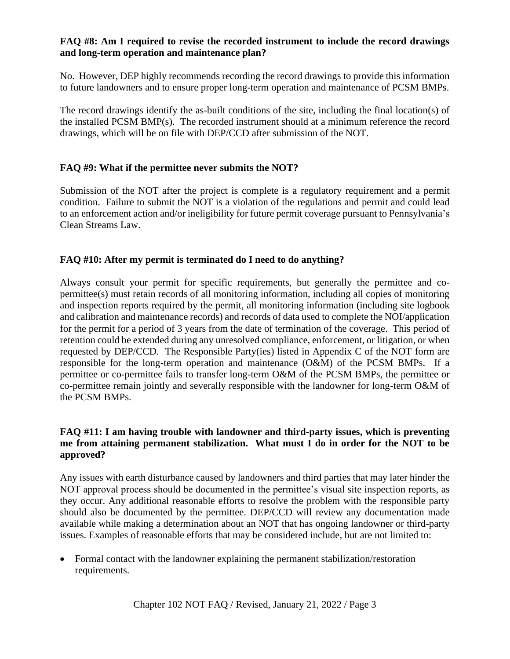#### **FAQ #8: Am I required to revise the recorded instrument to include the record drawings and long-term operation and maintenance plan?**

No. However, DEP highly recommends recording the record drawings to provide this information to future landowners and to ensure proper long-term operation and maintenance of PCSM BMPs.

The record drawings identify the as-built conditions of the site, including the final location(s) of the installed PCSM BMP(s). The recorded instrument should at a minimum reference the record drawings, which will be on file with DEP/CCD after submission of the NOT.

# **FAQ #9: What if the permittee never submits the NOT?**

Submission of the NOT after the project is complete is a regulatory requirement and a permit condition. Failure to submit the NOT is a violation of the regulations and permit and could lead to an enforcement action and/or ineligibility for future permit coverage pursuant to Pennsylvania's Clean Streams Law.

# **FAQ #10: After my permit is terminated do I need to do anything?**

Always consult your permit for specific requirements, but generally the permittee and copermittee(s) must retain records of all monitoring information, including all copies of monitoring and inspection reports required by the permit, all monitoring information (including site logbook and calibration and maintenance records) and records of data used to complete the NOI/application for the permit for a period of 3 years from the date of termination of the coverage. This period of retention could be extended during any unresolved compliance, enforcement, or litigation, or when requested by DEP/CCD. The Responsible Party(ies) listed in Appendix C of the NOT form are responsible for the long-term operation and maintenance (O&M) of the PCSM BMPs. If a permittee or co-permittee fails to transfer long-term O&M of the PCSM BMPs, the permittee or co-permittee remain jointly and severally responsible with the landowner for long-term O&M of the PCSM BMPs.

# **FAQ #11: I am having trouble with landowner and third-party issues, which is preventing me from attaining permanent stabilization. What must I do in order for the NOT to be approved?**

Any issues with earth disturbance caused by landowners and third parties that may later hinder the NOT approval process should be documented in the permittee's visual site inspection reports, as they occur. Any additional reasonable efforts to resolve the problem with the responsible party should also be documented by the permittee. DEP/CCD will review any documentation made available while making a determination about an NOT that has ongoing landowner or third-party issues. Examples of reasonable efforts that may be considered include, but are not limited to:

• Formal contact with the landowner explaining the permanent stabilization/restoration requirements.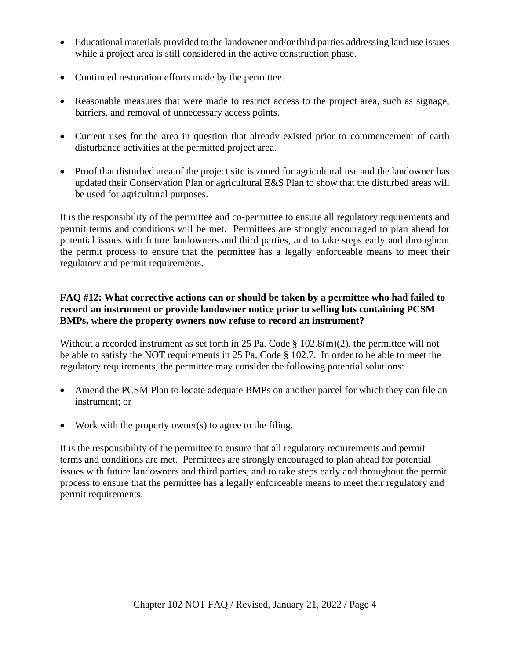- Educational materials provided to the landowner and/or third parties addressing land use issues while a project area is still considered in the active construction phase.
- Continued restoration efforts made by the permittee.
- Reasonable measures that were made to restrict access to the project area, such as signage, barriers, and removal of unnecessary access points.
- Current uses for the area in question that already existed prior to commencement of earth disturbance activities at the permitted project area.
- Proof that disturbed area of the project site is zoned for agricultural use and the landowner has updated their Conservation Plan or agricultural E&S Plan to show that the disturbed areas will be used for agricultural purposes.

It is the responsibility of the permittee and co-permittee to ensure all regulatory requirements and permit terms and conditions will be met. Permittees are strongly encouraged to plan ahead for potential issues with future landowners and third parties, and to take steps early and throughout the permit process to ensure that the permittee has a legally enforceable means to meet their regulatory and permit requirements.

# **FAQ #12: What corrective actions can or should be taken by a permittee who had failed to record an instrument or provide landowner notice prior to selling lots containing PCSM BMPs, where the property owners now refuse to record an instrument?**

Without a recorded instrument as set forth in 25 Pa. Code § 102.8(m)(2), the permittee will not be able to satisfy the NOT requirements in 25 Pa. Code § 102.7. In order to be able to meet the regulatory requirements, the permittee may consider the following potential solutions:

- Amend the PCSM Plan to locate adequate BMPs on another parcel for which they can file an instrument; or
- Work with the property owner(s) to agree to the filing.

It is the responsibility of the permittee to ensure that all regulatory requirements and permit terms and conditions are met. Permittees are strongly encouraged to plan ahead for potential issues with future landowners and third parties, and to take steps early and throughout the permit process to ensure that the permittee has a legally enforceable means to meet their regulatory and permit requirements.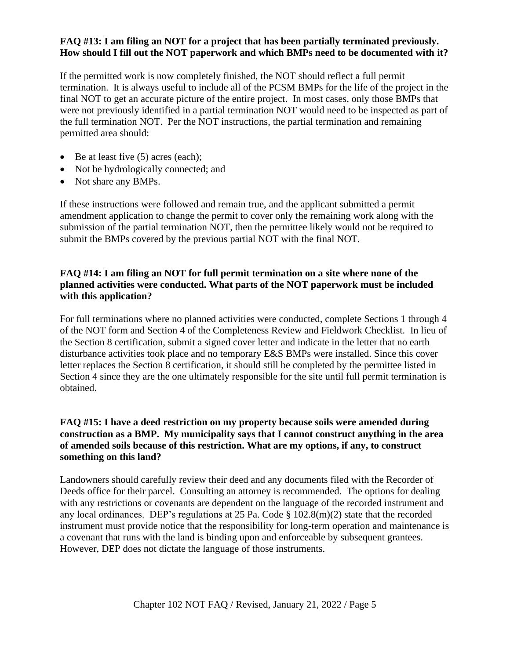#### **FAQ #13: I am filing an NOT for a project that has been partially terminated previously. How should I fill out the NOT paperwork and which BMPs need to be documented with it?**

If the permitted work is now completely finished, the NOT should reflect a full permit termination. It is always useful to include all of the PCSM BMPs for the life of the project in the final NOT to get an accurate picture of the entire project. In most cases, only those BMPs that were not previously identified in a partial termination NOT would need to be inspected as part of the full termination NOT. Per the NOT instructions, the partial termination and remaining permitted area should:

- Be at least five (5) acres (each);
- Not be hydrologically connected; and
- Not share any BMPs.

If these instructions were followed and remain true, and the applicant submitted a permit amendment application to change the permit to cover only the remaining work along with the submission of the partial termination NOT, then the permittee likely would not be required to submit the BMPs covered by the previous partial NOT with the final NOT.

# **FAQ #14: I am filing an NOT for full permit termination on a site where none of the planned activities were conducted. What parts of the NOT paperwork must be included with this application?**

For full terminations where no planned activities were conducted, complete Sections 1 through 4 of the NOT form and Section 4 of the Completeness Review and Fieldwork Checklist. In lieu of the Section 8 certification, submit a signed cover letter and indicate in the letter that no earth disturbance activities took place and no temporary E&S BMPs were installed. Since this cover letter replaces the Section 8 certification, it should still be completed by the permittee listed in Section 4 since they are the one ultimately responsible for the site until full permit termination is obtained.

#### **FAQ #15: I have a deed restriction on my property because soils were amended during construction as a BMP. My municipality says that I cannot construct anything in the area of amended soils because of this restriction. What are my options, if any, to construct something on this land?**

Landowners should carefully review their deed and any documents filed with the Recorder of Deeds office for their parcel. Consulting an attorney is recommended. The options for dealing with any restrictions or covenants are dependent on the language of the recorded instrument and any local ordinances. DEP's regulations at 25 Pa. Code § 102.8(m)(2) state that the recorded instrument must provide notice that the responsibility for long-term operation and maintenance is a covenant that runs with the land is binding upon and enforceable by subsequent grantees. However, DEP does not dictate the language of those instruments.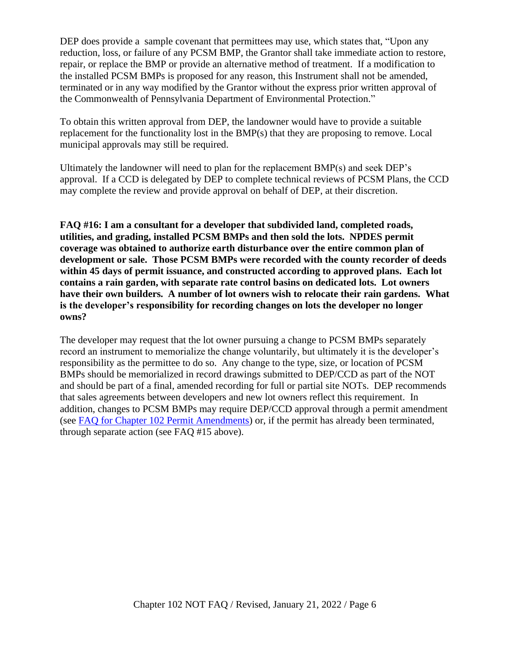DEP does provide a sample covenant that permittees may use, which states that, "Upon any reduction, loss, or failure of any PCSM BMP, the Grantor shall take immediate action to restore, repair, or replace the BMP or provide an alternative method of treatment. If a modification to the installed PCSM BMPs is proposed for any reason, this Instrument shall not be amended, terminated or in any way modified by the Grantor without the express prior written approval of the Commonwealth of Pennsylvania Department of Environmental Protection."

To obtain this written approval from DEP, the landowner would have to provide a suitable replacement for the functionality lost in the BMP(s) that they are proposing to remove. Local municipal approvals may still be required.

Ultimately the landowner will need to plan for the replacement BMP(s) and seek DEP's approval. If a CCD is delegated by DEP to complete technical reviews of PCSM Plans, the CCD may complete the review and provide approval on behalf of DEP, at their discretion.

**FAQ #16: I am a consultant for a developer that subdivided land, completed roads, utilities, and grading, installed PCSM BMPs and then sold the lots. NPDES permit coverage was obtained to authorize earth disturbance over the entire common plan of development or sale. Those PCSM BMPs were recorded with the county recorder of deeds within 45 days of permit issuance, and constructed according to approved plans. Each lot contains a rain garden, with separate rate control basins on dedicated lots. Lot owners have their own builders. A number of lot owners wish to relocate their rain gardens. What is the developer's responsibility for recording changes on lots the developer no longer owns?**

The developer may request that the lot owner pursuing a change to PCSM BMPs separately record an instrument to memorialize the change voluntarily, but ultimately it is the developer's responsibility as the permittee to do so. Any change to the type, size, or location of PCSM BMPs should be memorialized in record drawings submitted to DEP/CCD as part of the NOT and should be part of a final, amended recording for full or partial site NOTs. DEP recommends that sales agreements between developers and new lot owners reflect this requirement. In addition, changes to PCSM BMPs may require DEP/CCD approval through a permit amendment (see [FAQ for Chapter 102 Permit Amendments\)](https://files.dep.state.pa.us/Water/BPNPSM/StormwaterManagement/ConstructionStormwater/Chapter_102_Permit_Amendments_FAQ.pdf) or, if the permit has already been terminated, through separate action (see FAQ #15 above).